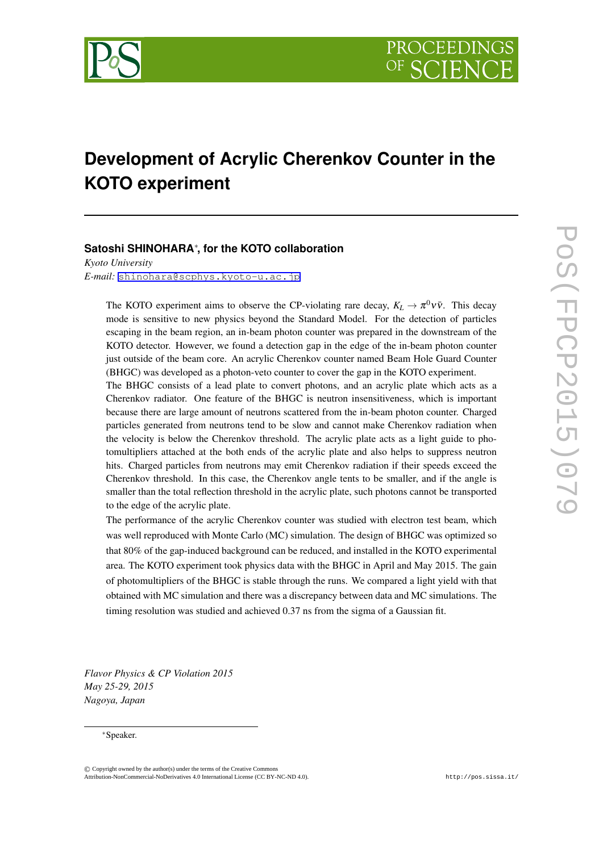

# **Development of Acrylic Cherenkov Counter in the KOTO experiment**

# **Satoshi SHINOHARA***∗* **, for the KOTO collaboration**

*Kyoto University E-mail:* [shinohara@scphys.kyoto-u.ac.jp](mailto:shinohara@scphys.kyoto-u.ac.jp)

The KOTO experiment aims to observe the CP-violating rare decay,  $K_L \rightarrow \pi^0 \nu \bar{\nu}$ . This decay mode is sensitive to new physics beyond the Standard Model. For the detection of particles escaping in the beam region, an in-beam photon counter was prepared in the downstream of the KOTO detector. However, we found a detection gap in the edge of the in-beam photon counter just outside of the beam core. An acrylic Cherenkov counter named Beam Hole Guard Counter (BHGC) was developed as a photon-veto counter to cover the gap in the KOTO experiment.

The BHGC consists of a lead plate to convert photons, and an acrylic plate which acts as a Cherenkov radiator. One feature of the BHGC is neutron insensitiveness, which is important because there are large amount of neutrons scattered from the in-beam photon counter. Charged particles generated from neutrons tend to be slow and cannot make Cherenkov radiation when the velocity is below the Cherenkov threshold. The acrylic plate acts as a light guide to photomultipliers attached at the both ends of the acrylic plate and also helps to suppress neutron hits. Charged particles from neutrons may emit Cherenkov radiation if their speeds exceed the Cherenkov threshold. In this case, the Cherenkov angle tents to be smaller, and if the angle is smaller than the total reflection threshold in the acrylic plate, such photons cannot be transported to the edge of the acrylic plate.

The performance of the acrylic Cherenkov counter was studied with electron test beam, which was well reproduced with Monte Carlo (MC) simulation. The design of BHGC was optimized so that 80% of the gap-induced background can be reduced, and installed in the KOTO experimental area. The KOTO experiment took physics data with the BHGC in April and May 2015. The gain of photomultipliers of the BHGC is stable through the runs. We compared a light yield with that obtained with MC simulation and there was a discrepancy between data and MC simulations. The timing resolution was studied and achieved 0.37 ns from the sigma of a Gaussian fit.

*Flavor Physics & CP Violation 2015 May 25-29, 2015 Nagoya, Japan*

#### *∗*Speaker.

©*⃝*<sup>c</sup> Copyright owned by the author(s) under the terms of the Creative Commons Copyright owned by the author(s) under the terms of the Creative Commons Attribution 4.0 licence. http://pos.sissa.it/ Attribution-NonCommercial-NoDerivatives 4.0 International License (CC BY-NC-ND 4.0).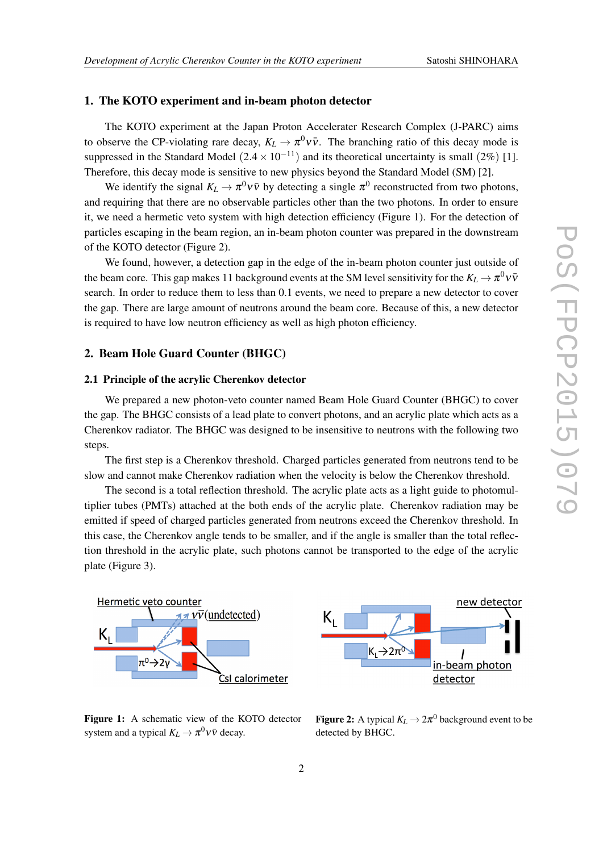### 1. The KOTO experiment and in-beam photon detector

The KOTO experiment at the Japan Proton Accelerater Research Complex (J-PARC) aims to observe the CP-violating rare decay,  $K_L \to \pi^0 \nu \bar{\nu}$ . The branching ratio of this decay mode is suppressed in the Standard Model  $(2.4 \times 10^{-11})$  and its theoretical uncertainty is small  $(2\%)$  [1]. Therefore, this decay mode is sensitive to new physics beyond the Standard Model (SM) [2].

We identify the signal  $K_L \to \pi^0 \nu \bar{\nu}$  by detecting a single  $\pi^0$  reconstructed from two photons, and requiring that there are no observable particles other than the two photons. In order to ensure it, we need a hermetic veto system with high detection efficiency (Figure 1). For the detection of particles escaping in the beam region, an in-beam photon counter was prepared in the downstream of the KOTO detector (Figure 2).

We found, however, a detection gap in the edge of the in-beam photon counter just outside of the beam core. This gap makes 11 background events at the SM level sensitivity for the  $K_L \to \pi^0 \nu \bar{\nu}$ search. In order to reduce them to less than 0.1 events, we need to prepare a new detector to cover the gap. There are large amount of neutrons around the beam core. Because of this, a new detector is required to have low neutron efficiency as well as high photon efficiency.

## 2. Beam Hole Guard Counter (BHGC)

#### 2.1 Principle of the acrylic Cherenkov detector

We prepared a new photon-veto counter named Beam Hole Guard Counter (BHGC) to cover the gap. The BHGC consists of a lead plate to convert photons, and an acrylic plate which acts as a Cherenkov radiator. The BHGC was designed to be insensitive to neutrons with the following two steps.

The first step is a Cherenkov threshold. Charged particles generated from neutrons tend to be slow and cannot make Cherenkov radiation when the velocity is below the Cherenkov threshold.

The second is a total reflection threshold. The acrylic plate acts as a light guide to photomultiplier tubes (PMTs) attached at the both ends of the acrylic plate. Cherenkov radiation may be emitted if speed of charged particles generated from neutrons exceed the Cherenkov threshold. In this case, the Cherenkov angle tends to be smaller, and if the angle is smaller than the total reflection threshold in the acrylic plate, such photons cannot be transported to the edge of the acrylic plate (Figure 3).



Figure 1: A schematic view of the KOTO detector system and a typical  $K_L \to \pi^0 \nu \bar{\nu}$  decay.



**Figure 2:** A typical  $K_L \to 2\pi^0$  background event to be detected by BHGC.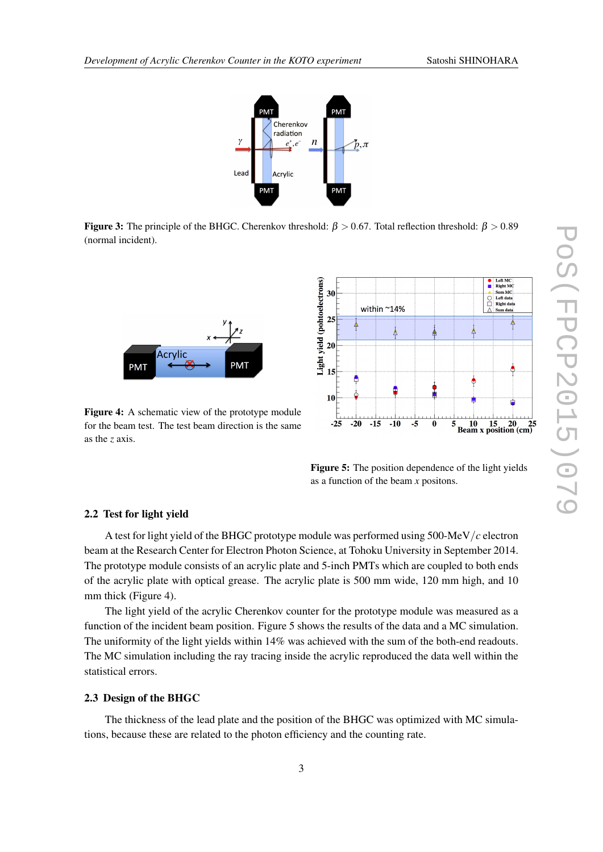

**Figure 3:** The principle of the BHGC. Cherenkov threshold:  $β > 0.67$ . Total reflection threshold:  $β > 0.89$ (normal incident).



Figure 4: A schematic view of the prototype module for the beam test. The test beam direction is the same as the *z* axis.



Figure 5: The position dependence of the light yields as a function of the beam *x* positons.

#### 2.2 Test for light yield

A test for light yield of the BHGC prototype module was performed using 500-MeV*/c* electron beam at the Research Center for Electron Photon Science, at Tohoku University in September 2014. The prototype module consists of an acrylic plate and 5-inch PMTs which are coupled to both ends of the acrylic plate with optical grease. The acrylic plate is 500 mm wide, 120 mm high, and 10 mm thick (Figure 4).

The light yield of the acrylic Cherenkov counter for the prototype module was measured as a function of the incident beam position. Figure 5 shows the results of the data and a MC simulation. The uniformity of the light yields within 14% was achieved with the sum of the both-end readouts. The MC simulation including the ray tracing inside the acrylic reproduced the data well within the statistical errors.

### 2.3 Design of the BHGC

The thickness of the lead plate and the position of the BHGC was optimized with MC simulations, because these are related to the photon efficiency and the counting rate.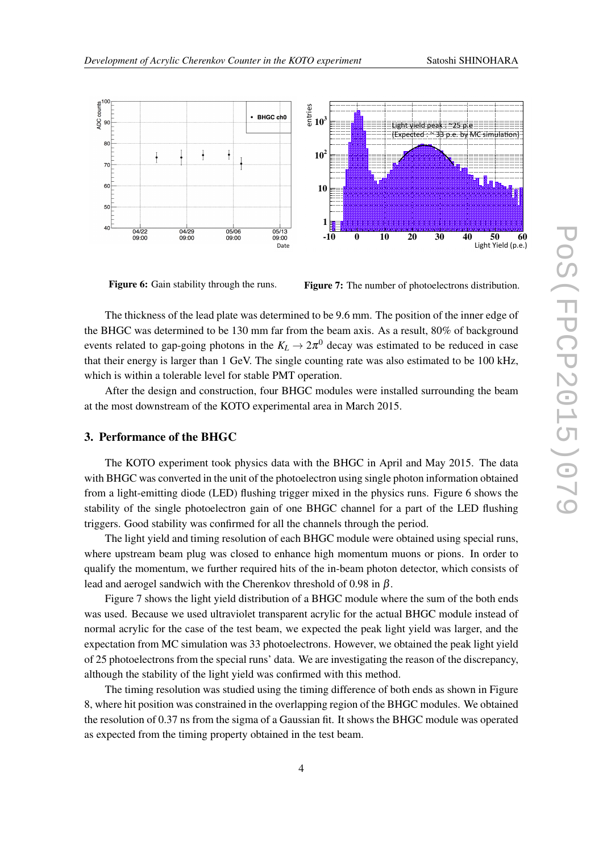

Figure 6: Gain stability through the runs.

Figure 7: The number of photoelectrons distribution.

The thickness of the lead plate was determined to be 9.6 mm. The position of the inner edge of the BHGC was determined to be 130 mm far from the beam axis. As a result, 80% of background events related to gap-going photons in the  $K_L \rightarrow 2\pi^0$  decay was estimated to be reduced in case that their energy is larger than 1 GeV. The single counting rate was also estimated to be 100 kHz, which is within a tolerable level for stable PMT operation.

After the design and construction, four BHGC modules were installed surrounding the beam at the most downstream of the KOTO experimental area in March 2015.

## 3. Performance of the BHGC

The KOTO experiment took physics data with the BHGC in April and May 2015. The data with BHGC was converted in the unit of the photoelectron using single photon information obtained from a light-emitting diode (LED) flushing trigger mixed in the physics runs. Figure 6 shows the stability of the single photoelectron gain of one BHGC channel for a part of the LED flushing triggers. Good stability was confirmed for all the channels through the period.

The light yield and timing resolution of each BHGC module were obtained using special runs, where upstream beam plug was closed to enhance high momentum muons or pions. In order to qualify the momentum, we further required hits of the in-beam photon detector, which consists of lead and aerogel sandwich with the Cherenkov threshold of 0.98 in  $\beta$ .

Figure 7 shows the light yield distribution of a BHGC module where the sum of the both ends was used. Because we used ultraviolet transparent acrylic for the actual BHGC module instead of normal acrylic for the case of the test beam, we expected the peak light yield was larger, and the expectation from MC simulation was 33 photoelectrons. However, we obtained the peak light yield of 25 photoelectrons from the special runs' data. We are investigating the reason of the discrepancy, although the stability of the light yield was confirmed with this method.

The timing resolution was studied using the timing difference of both ends as shown in Figure 8, where hit position was constrained in the overlapping region of the BHGC modules. We obtained the resolution of 0.37 ns from the sigma of a Gaussian fit. It shows the BHGC module was operated as expected from the timing property obtained in the test beam.